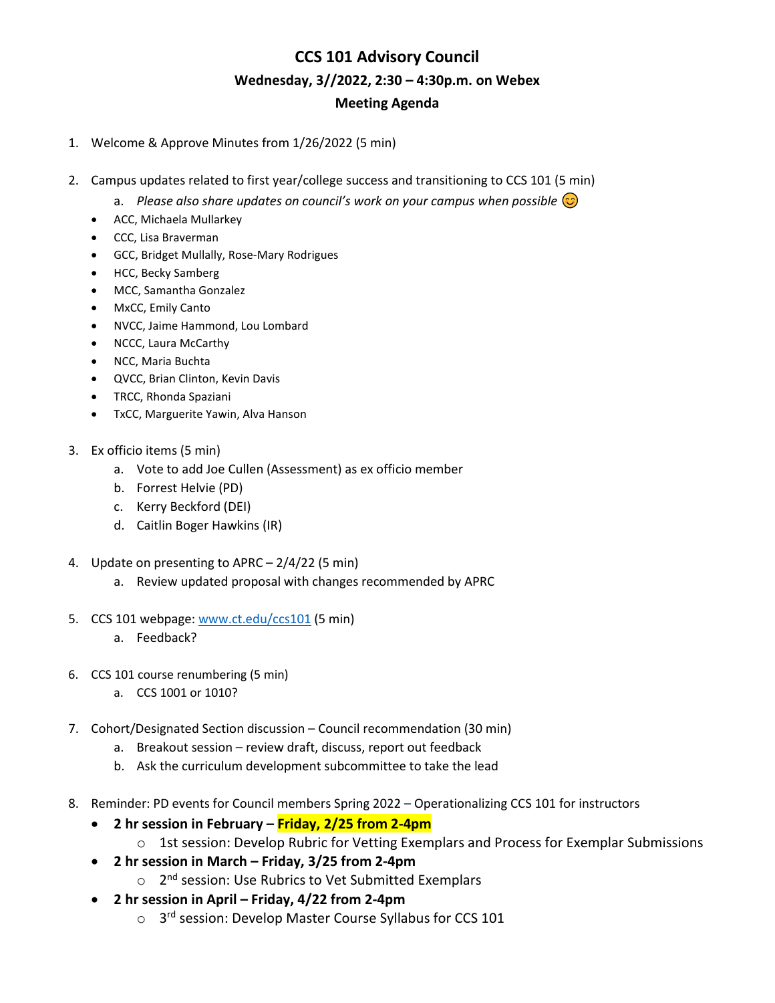# **CCS 101 Advisory Council Wednesday, 3//2022, 2:30 – 4:30p.m. on Webex Meeting Agenda**

- 1. Welcome & Approve Minutes from 1/26/2022 (5 min)
- 2. Campus updates related to first year/college success and transitioning to CCS 101 (5 min)
	- a. *Please also share updates on council's work on your campus when possible*  $\odot$
	- ACC, Michaela Mullarkey
	- CCC, Lisa Braverman
	- GCC, Bridget Mullally, Rose-Mary Rodrigues
	- HCC, Becky Samberg
	- MCC, Samantha Gonzalez
	- MxCC, Emily Canto
	- NVCC, Jaime Hammond, Lou Lombard
	- NCCC, Laura McCarthy
	- NCC, Maria Buchta
	- QVCC, Brian Clinton, Kevin Davis
	- TRCC, Rhonda Spaziani
	- TxCC, Marguerite Yawin, Alva Hanson
- 3. Ex officio items (5 min)
	- a. Vote to add Joe Cullen (Assessment) as ex officio member
	- b. Forrest Helvie (PD)
	- c. Kerry Beckford (DEI)
	- d. Caitlin Boger Hawkins (IR)
- 4. Update on presenting to APRC 2/4/22 (5 min)
	- a. Review updated proposal with changes recommended by APRC
- 5. CCS 101 webpage: [www.ct.edu/ccs101](http://www.ct.edu/ccs101) (5 min)
	- a. Feedback?
- 6. CCS 101 course renumbering (5 min)
	- a. CCS 1001 or 1010?
- 7. Cohort/Designated Section discussion Council recommendation (30 min)
	- a. Breakout session review draft, discuss, report out feedback
	- b. Ask the curriculum development subcommittee to take the lead
- 8. Reminder: PD events for Council members Spring 2022 Operationalizing CCS 101 for instructors
	- **2 hr session in February – Friday, 2/25 from 2-4pm**
		- o 1st session: Develop Rubric for Vetting Exemplars and Process for Exemplar Submissions
	- **2 hr session in March – Friday, 3/25 from 2-4pm**
		- o 2<sup>nd</sup> session: Use Rubrics to Vet Submitted Exemplars
	- **2 hr session in April – Friday, 4/22 from 2-4pm**
		- o 3<sup>rd</sup> session: Develop Master Course Syllabus for CCS 101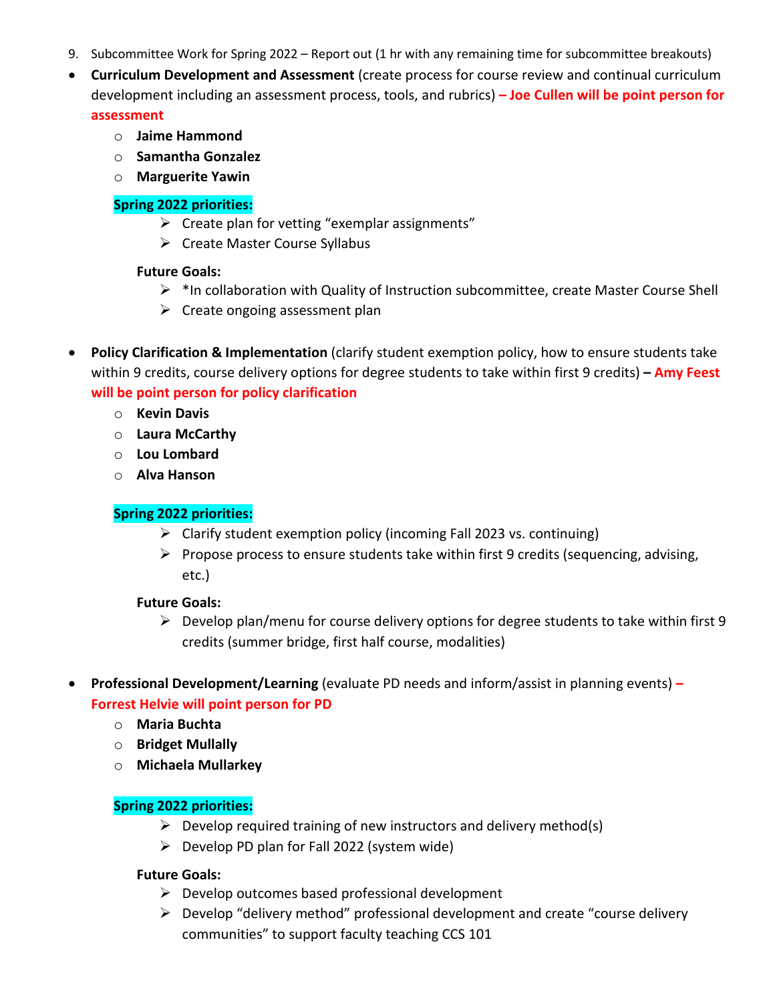- 9. Subcommittee Work for Spring 2022 Report out (1 hr with any remaining time for subcommittee breakouts)
- **Curriculum Development and Assessment** (create process for course review and continual curriculum development including an assessment process, tools, and rubrics) **– Joe Cullen will be point person for assessment**

- o **Jaime Hammond**
- o **Samantha Gonzalez**
- o **Marguerite Yawin**

#### **Spring 2022 priorities:**

- $\triangleright$  Create plan for vetting "exemplar assignments"
- $\triangleright$  Create Master Course Syllabus

#### **Future Goals:**

- $\triangleright$  \*In collaboration with Quality of Instruction subcommittee, create Master Course Shell
- $\triangleright$  Create ongoing assessment plan
- **Policy Clarification & Implementation** (clarify student exemption policy, how to ensure students take within 9 credits, course delivery options for degree students to take within first 9 credits) **– Amy Feest will be point person for policy clarification**
	- o **Kevin Davis**
	- o **Laura McCarthy**
	- o **Lou Lombard**
	- o **Alva Hanson**

## **Spring 2022 priorities:**

- $\triangleright$  Clarify student exemption policy (incoming Fall 2023 vs. continuing)
- $\triangleright$  Propose process to ensure students take within first 9 credits (sequencing, advising, etc.)

## **Future Goals:**

- $\triangleright$  Develop plan/menu for course delivery options for degree students to take within first 9 credits (summer bridge, first half course, modalities)
- **Professional Development/Learning** (evaluate PD needs and inform/assist in planning events) **– Forrest Helvie will point person for PD**
	- o **Maria Buchta**
	- o **Bridget Mullally**
	- o **Michaela Mullarkey**

## **Spring 2022 priorities:**

- $\triangleright$  Develop required training of new instructors and delivery method(s)
- $\triangleright$  Develop PD plan for Fall 2022 (system wide)

## **Future Goals:**

- $\triangleright$  Develop outcomes based professional development
- $\triangleright$  Develop "delivery method" professional development and create "course delivery communities" to support faculty teaching CCS 101